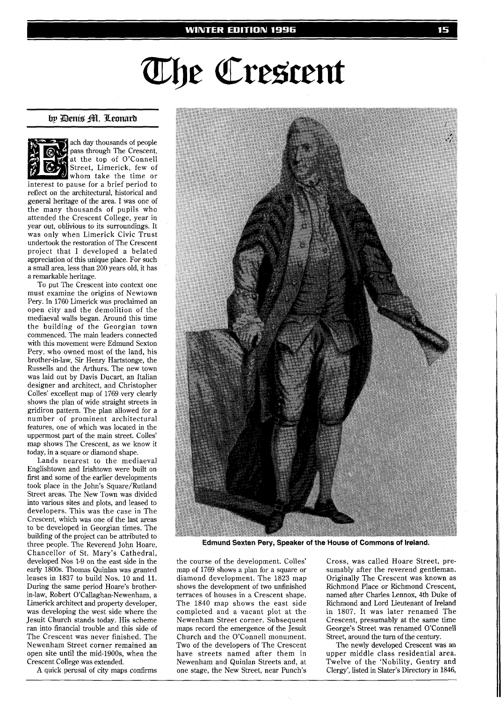## The Crescent

## by Denis Hl. Leonard



ach day thousands of people pass through The Crescent, at the top of O'Connell Street, Limerick, few of whom take the time or interest to pause for a brief period to reflect on the architectural, historical and general heritage of the area. I was one of

the many thousands of pupils who attended the Crescent College, year in year out, oblivious to its surroundings. It was only when Limerick Civic Trust undertook the restoration of The Crescent project that I developed a belated appreciation of this unique place. For such a small area, less than 200 years old, it has a remarkable heritage.

To put The Crescent into context one must examine the origins of Newtown Pery. In 1760 Limerick was proclaimed an open city and the demolition of the mediaeval walls began. Around this time the building of the Georgian town commenced. The main leaders connected with this movement were Edmund Sexton Pery, who owned most of the land, his brother-in-law, Sir Henry Hartstonge, the Russells and the Arthurs. The new town was laid out by Davis Ducart, an Italian designer and architect, and Christopher Colles' excellent map of 1769 very clearly shows the plan of wide straight streets in gridiron pattern. The plan allowed for a number of prominent architectural features, one of which was located in the uppermost part of the main street. Colles' map shows The Crescent, as we know it today, in a square or diamond shape.

Lands nearest to the mediaeval Englishtown and Irishtown were built on first and some of the earlier developments took place in the John's Square/Rutland Street areas. The New Town was divided into various sites and plots, and leased to developers. This was the case in The Crescent, which was one of the last areas to be developed in Georgian times. The building of the project can be attributed to three people. The Reverend John Hoare, Chancellor of St. Mary's Cathedral, developed Nos 1-9 on the east side in the early 1800s. Thomas Quinlan was granted leases in 1837 to build Nos. 10 and 11. During the same period Hoare's brotherin-law, Robert O'Callaghan-Newenham, a Limerick architect and property developer, was developing the west side where the Jesuit Church stands today. His scheme ran into financial trouble and this side of The Crescent was never finished. The Newenham Street corner remained an open site until the mid-1900s, when the Crescent College was extended.

A quick perusal of city maps confirms



**Edmund Sexten Pery, Speaker of the House of Commons of Ireland.** 

the course of the development. Colles' map of 1769 shows a plan for a square or diamond development. The 1823 map shows the development of two unfinished terraces of houses in a Crescent shape. The 1840 map shows the east side completed and a vacant plot at the Newenham Street corner. Subsequent maps record the emergence of the Jesuit Church and the O'Connell monument. Two of the developers of The Crescent have streets named after them in Newenham and Quinlan Streets and, at one stage, the New Street, near Punch's

Cross, was called Hoare Street, presumably after the reverend gentleman. Originally The Crescent was known as Richmond Place or Richmond Crescent, named after Charles Lennox, 4th Duke of Richmond and Lord Lieutenant of Ireland in 1807. It was later renamed The Crescent, presumably at the same time George's Street was renamed O'Connell Street, around the turn of the century.

The newly developed Crescent was an upper middle class residential area. Twelve of the 'Nobility, Gentry and Clergy', listed in Slater's Directory in 1846,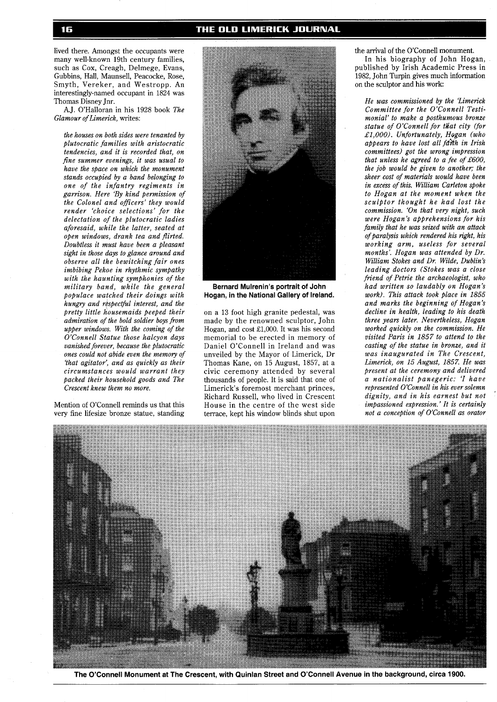lived there. Amongst the occupants were many well-known 19th century families, such as Cox, Creagh, Delmege, Evans, Gubbins, Hall, Maunsell, Peacocke, Rose, Smyth, Vereker, and Westropp. An interestingly-named occupant in 1824 was Thomas Disney Jnr.

A.J. O'Halloran in his 1928 book *The Glamour of Limerick,* writes:

*the houses on both sides were tenanted by plutocratic families with aristocratic tendencies, and it is recorded that, on fine summer evenings, it was usual to have the space on which the monument stands occupied by a band belonging to one of the infantry regiments in garrison. Here 'By kind permission of the Colonel and ojjficers' they would render 'choice selections' for the delectation of the plutocratic ladies aforesaid, while the latter, seated at open windows, drank tea and flirted. Doubtless it must have been a pleasant sight in those days to glance around and observe all the bewitching fair ones imbibing Pekoe in rhythmic sympathy with the haunting symphonies of the military band, while the general populace watched their doings with hungry and r6spectfitl interest, and the pretty little housemaids peeped their admiration of the bold soldier boys from upper windows. With the coming of the O'Connell Statue those halcyon days vanished forever, because the plutocratic ones could not abide even the memory of 'that agitator', and as quickly as their circumstances would warrant they packed their household goods and The Crescent knew them no more.* 

Mention of O'Connell reminds us that this very fine lifesize bronze statue, standing



**Bernard Mulrenin's portrait of John Hogan, in the National Gallery of Ireland.** 

on a 13 foot high granite pedestal, was made by the renowned sculptor, John Hogan, and cost £1,000. It was his second memorial to be erected in memory of Daniel O'Connell in Ireland and was unveiled by the Mayor of Limerick, Dr Thomas Kane, on 15 August, 1857, at a civic ceremony attended by several thousands of people. It is said that one of Limerick's foremost merchant princes, Richard Russell, who lived in Crescent House in the centre of the west side terrace, kept his window blinds shut upon

the arrival of the O'Connell monument.

In his biography of John Hogan, published by Irish Academic Press in 1982, John Turpin gives much information on the sculptor and his work:

*He was commissioned by the limerick Committee for the O'Connell Testimonial' to make a posthumous bronze*  statue of O'Connell for that city (for *£1,000). Unfortunately, Hogan (who appears to have lost all fdhh in Irish committees) got the wrong impression that unless he agreed to a fee of £600, the job would be given to another; the sheer cost of materials would have been in excess of this. William Carleton spoke to Hogan at the moment when the sculptor thought he had lost the commission. 'On that very night, such were Hogan's apprehensions for his family that he was seized with an attack of paralysis which rendered his right, his working arm, useless for several months'. Hogan was attended by Dr. William Stokes and Dr. Wilde, Dublin's leading doctors (Stokes was a close friend of Petrie the archaeologist, who had written so laudably on Hogan's work). This attack took place in 1855 and marks the beginning of Hogan's decline in health, leading to his death three years later. Nevertheless, Hogan worked quickly on the commission. He visited Paris in 1857 to attend to the casting of the statue in bronze, and it was inaugurated in The Crescent, Limerick, on 15 August, 1857. He was present at the ceremony and delivered a nationalist panegeric: 'l have represented O'Connell in his ever solemn dignity, and in his earnest but not impassioned expression.' It is certainly not a conception of O'Connell as orator* 



**The O'Connell Monument at The Crescent, with Quinlan Street and O'Connell Avenue in the background, circa 1900.**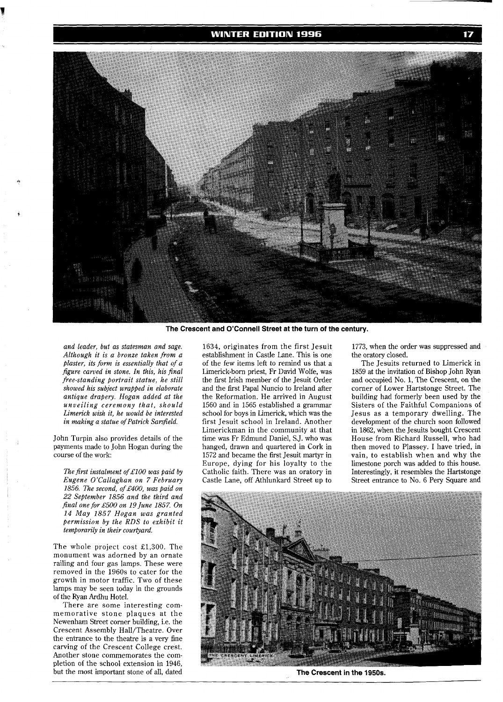## **WINTER EDITION 1996**



**The Crescent and O'Connell Street at the turn of the century.** 

*and leader, but as statesman and sage. Although it is a bronze taken from a plaster, its form is essentially that of a figure carved in stone. In this, his final free-standing portrail statue, he still showed his subject wrapped in elaborate antique drapery. Hogan added at the unveiling ceremony that, should Limerick wish it, he would be interested*   $in$  making a statue of Patrick Sarsfield.

John Turpin also provides details of the payments made to John Hogan during the course of the work:

*The first instalment of £100 was paid by Eugene O'Callaghan on 7 February 1856. The second, of £400, was paid on 22 September 1856 and the third and final one for £500 on 19 June 1857. On 14 May 1857 Hogan was granted permission by the RDS to exhibit it temporarily in their courtyard.* 

The whole project cost £1,300. The monument was adorned by an ornate railing and four gas lamps. These were removed in the 1960s to cater for the growth in motor traffic. Two of these lamps may be seen today in the grounds of the Ryan Ardhu Hotel.

There are some interesting commemorative stone plaques at the Newenham Street corner building, i.e. the Crescent Assembly Hall/Theatre. Over the entrance to the theatre is a very fine carving of the Crescent College crest. Another stone commemorates the completion of the school extension in 1946, but the most important stone of all, dated 1634, originates from the first Jesuit establishment in Castle Lane. This is one of the few items left to remind us that a Limerick-born priest, Fr David Wolfe, was the first Irish member of the Jesuit Order and the first Papal Nuncio to Ireland after the Reformation. He arrived in August 1560 and in 1565 established a grammar school for boys in Limerick, which was the first Jesuit school in Ireland. Another Limerickman in the community at that time was Fr Edmund Daniel, S.J. who was hanged, drawn and quartered in Cork in 1572 and became the first Jesuit martyr in Europe, dying for his loyalty to the Catholic faith. There was an oratory in Castle Lane, off Athlunkard Street up to

1773, when the order was suppressed and the oratory closed.

The Jesuits returned to Limerick in 1859 at the invitation of Bishop John Ryan and occupied No. 1, The Crescent, on the corner of Lower Hartstonge Street. The building had formerly been used by the Sisters of the Faithful Companions of Jesus as a temporary dwelling. The development of the church soon followed in 1862, when the Jesuits bought Crescent House from Richard Russell, who had then moved to Plassey. I have tried, in vain, to establish when and why the limestone porch was added to this house. Interestingly, it resembles the Hartstonge Street entrance to No. 6 Pery Square and



**The Crescent in the 1950s.**